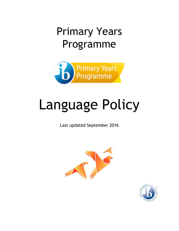## Primary Years Programme



# Language Policy

Last updated September 2016



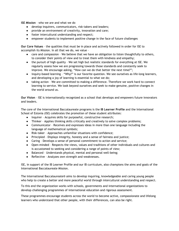**ISE Mission** – who we are and what we do

- develop inquirers, communicators, risk-takers and leaders;
- provide an environment of creativity, innovation and care;
- foster intercultural understanding and respect;
- empower students to implement positive change in the face of future challenges

**Our Core Values** – the qualities that must be in place and actively followed in order for ISE to accomplish its Mission. In all that we do, we value –

- care and compassion We believe that we have an obligation to listen thoughtfully to others, to consider their points of view and to treat them with kindness and empathy;
- the pursuit of high quality We set high but realistic standards for everything at ISE. We regularly assess how we are progressing towards those standards and constantly seek to improve. We encourage asking, "How can we do that better the next time?";
- inquiry-based learning "Why?" is our favorite question. We see ourselves as life-long learners, and developing a joy of learning is essential to what we do;
- taking action We are committed to making a difference. Therefore we work hard to connect learning to service. We look beyond ourselves and seek to make genuine, positive changes in the world around us.

**Our Vision** – ISE is internationally recognized as a school that develops and empowers future innovators and leaders.

The core of the International Baccalaureate programs is the **IB Learner Profile** and the International School of Estonia (ISE) celebrates the promotion of these student attributes:

- Inquirer Acquires skills for purposeful, constructive research;
- Thinker Applies thinking skills critically and creatively to solve complex problems;
- Communicator Receives and expresses ideas in more than one language including the language of mathematical symbols;
- Risk-taker Approaches unfamiliar situations with confidence;
- Principled Displays integrity, honesty and a sense of fairness and justice;
- Caring Develops a sense of personal commitment to action and service;
- Open-minded Respects the views, values and traditions of other individuals and cultures and is accustomed to seeking and considering a range of points of view;
- Balanced Understands physical, mental and personal well-being;
- Reflective Analyzes own strength and weaknesses.

ISE, in support of the IB Learner Profile and our IB curriculum, also champions the aims and goals of the International Baccalaureate Mission.

The International Baccalaureate® aims to develop inquiring, knowledgeable and caring young people who help to create a better and more peaceful world through intercultural understanding and respect.

To this end the organization works with schools, governments and international organizations to develop challenging programmes of international education and rigorous assessment.

These programmes encourage students across the world to become active, compassionate and lifelong learners who understand that other people, with their differences, can also be right.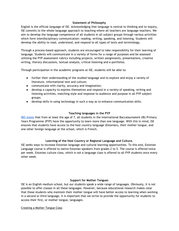#### **Statement of Philosophy**

English is the official language of ISE. Acknowledging that language is central to thinking and to inquiry, ISE commits to the whole-language approach to teaching where all teachers are language teachers. We aim to develop the language competence of all students in all subject groups through various activities which form interdisciplinary communication: reading, writing, speaking, and listening. Students will develop the ability to read, understand, and respond to all types of texts and terminology.

Through a process-based approach, students are encouraged to take responsibility for their learning of language. Students will communicate in a variety of forms for a range of purposes and be assessed utilizing the PYP assessment rubrics including projects, written assignments, presentations, creative writing, literary discussions, textual analysis, critical listening and e-portfolios.

Through participation in the academic programs at ISE, students will be able to:

- further their understanding of the studied language and to explore and enjoy a variety of literature, informational text and culture;
- communicate with clarity, accuracy and imagination;
- develop a capacity to express themselves and respond in a variety of speaking, writing and listening activities, matching style and response to audience and purpose in all PYP subject groups;
- develop skills in using technology in such a way as to enhance communication skills.

#### **Teaching languages in the PYP**

IBO [states](http://www.ibo.org/programmes/primary-years-programme/what-is-the-pyp/learning-a-languaage/) that from at least the age of 7, all students in the International Baccalaureate® (IB) Primary Years Programme (PYP) have the opportunity to learn more than one language. With this in mind, ISE ensures that students have access to the host country language (Estonian), their mother tongue, and one other foreign language at the school, which is French.

#### **Learning of the Host Country or Regional Language and Culture.**

ISE seeks ways to increase Estonian language and cultural learning opportunities. To this end, Estonian Language course is offered to native Estonian speakers from grades 2 to 5. The course is offered twice per week. Estonian culture class, which is not a language class is offered to all PYP students once every other week.

#### **Support for Mother Tongues**

ISE is an English medium school, but our students speak a wide range of languages. Obviously, it is not possible to offer classes in all these languages. However, because educational research makes clear that those students who maintain their mother tongue will have better access to learning when working in a second or third language, it is important that we strive to provide the opportunity for students to access their first, or mother tongue, languages.

#### Creating a Mother Tongue Class